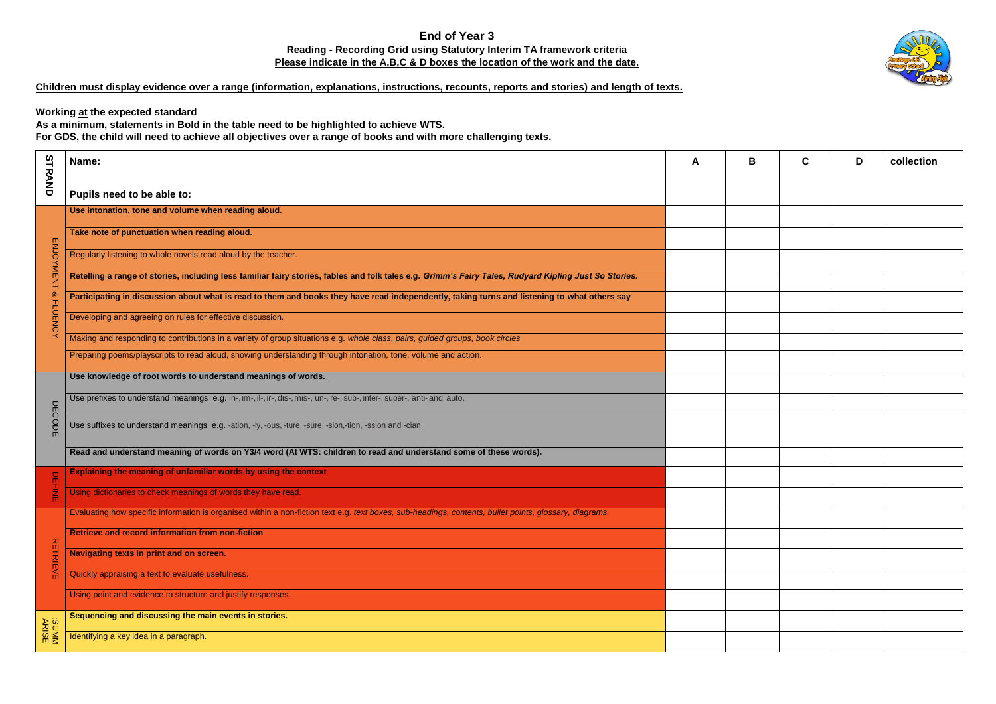## **End of Year 3 Reading - Recording Grid using Statutory Interim TA framework criteria Please indicate in the A,B,C & D boxes the location of the work and the date.**

## **Children must display evidence over a range (information, explanations, instructions, recounts, reports and stories) and length of texts.**

**Working at the expected standard**

**As a minimum, statements in Bold in the table need to be highlighted to achieve WTS.** 

**For GDS, the child will need to achieve all objectives over a range of books and with more challenging texts.**

| A | $\pmb{\mathsf{B}}$ | $\mathbf C$ | D | collection |  |
|---|--------------------|-------------|---|------------|--|
|   |                    |             |   |            |  |
|   |                    |             |   |            |  |
|   |                    |             |   |            |  |
|   |                    |             |   |            |  |
|   |                    |             |   |            |  |
|   |                    |             |   |            |  |
|   |                    |             |   |            |  |
|   |                    |             |   |            |  |
|   |                    |             |   |            |  |
|   |                    |             |   |            |  |
|   |                    |             |   |            |  |
|   |                    |             |   |            |  |
|   |                    |             |   |            |  |
|   |                    |             |   |            |  |
|   |                    |             |   |            |  |
|   |                    |             |   |            |  |
|   |                    |             |   |            |  |
|   |                    |             |   |            |  |
|   |                    |             |   |            |  |
|   |                    |             |   |            |  |
|   |                    |             |   |            |  |

|                                               | Name:                                                                                                                                                  | A |  |
|-----------------------------------------------|--------------------------------------------------------------------------------------------------------------------------------------------------------|---|--|
| STRAND                                        | Pupils need to be able to:                                                                                                                             |   |  |
|                                               | Use intonation, tone and volume when reading aloud.                                                                                                    |   |  |
| <b>ENJOYMENT</b><br>$\infty$<br><b>FLUENC</b> | Take note of punctuation when reading aloud.                                                                                                           |   |  |
|                                               | Regularly listening to whole novels read aloud by the teacher.                                                                                         |   |  |
|                                               | Retelling a range of stories, including less familiar fairy stories, fables and folk tales e.g. Grimm's Fairy Tales, Rudyard Kipling Just So Stories.  |   |  |
|                                               | Participating in discussion about what is read to them and books they have read independently, taking turns and listening to what others say           |   |  |
|                                               | Developing and agreeing on rules for effective discussion.                                                                                             |   |  |
|                                               | Making and responding to contributions in a variety of group situations e.g. whole class, pairs, guided groups, book circles                           |   |  |
|                                               | Preparing poems/playscripts to read aloud, showing understanding through intonation, tone, volume and action.                                          |   |  |
| <b>DECODE</b>                                 | Use knowledge of root words to understand meanings of words.                                                                                           |   |  |
|                                               | Use prefixes to understand meanings e.g. in-, im-, il-, ir-, dis-, mis-, un-, re-, sub-, inter-, super-, anti- and auto.                               |   |  |
|                                               | Use suffixes to understand meanings e.g. -ation, -ly, -ous, -ture, -sure, -sion,-tion, -ssion and -cian                                                |   |  |
|                                               | Read and understand meaning of words on Y3/4 word (At WTS: children to read and understand some of these words).                                       |   |  |
| $\Box$<br><b>THINE</b>                        | Explaining the meaning of unfamiliar words by using the context                                                                                        |   |  |
|                                               | Using dictionaries to check meanings of words they have read.                                                                                          |   |  |
| <b>RETRIEVE</b>                               | Evaluating how specific information is organised within a non-fiction text e.g. text boxes, sub-headings, contents, bullet points, glossary, diagrams. |   |  |
|                                               | Retrieve and record information from non-fiction                                                                                                       |   |  |
|                                               | Navigating texts in print and on screen.                                                                                                               |   |  |
|                                               | Quickly appraising a text to evaluate usefulness.                                                                                                      |   |  |
|                                               | Using point and evidence to structure and justify responses.                                                                                           |   |  |
|                                               | Sequencing and discussing the main events in stories.                                                                                                  |   |  |
| SUMMM<br>ARISE                                | Identifying a key idea in a paragraph.                                                                                                                 |   |  |